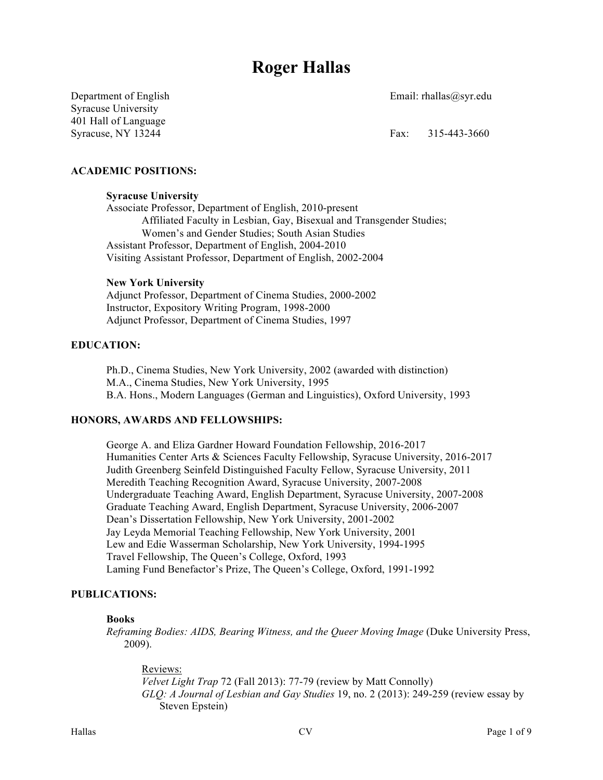# **Roger Hallas**

Department of English Email: rhallas@syr.edu

Syracuse University 401 Hall of Language Syracuse, NY 13244 Fax: 315-443-3660

# **ACADEMIC POSITIONS:**

#### **Syracuse University**

Associate Professor, Department of English, 2010-present Affiliated Faculty in Lesbian, Gay, Bisexual and Transgender Studies; Women's and Gender Studies; South Asian Studies Assistant Professor, Department of English, 2004-2010 Visiting Assistant Professor, Department of English, 2002-2004

#### **New York University**

Adjunct Professor, Department of Cinema Studies, 2000-2002 Instructor, Expository Writing Program, 1998-2000 Adjunct Professor, Department of Cinema Studies, 1997

#### **EDUCATION:**

Ph.D., Cinema Studies, New York University, 2002 (awarded with distinction) M.A., Cinema Studies, New York University, 1995 B.A. Hons., Modern Languages (German and Linguistics), Oxford University, 1993

#### **HONORS, AWARDS AND FELLOWSHIPS:**

George A. and Eliza Gardner Howard Foundation Fellowship, 2016-2017 Humanities Center Arts & Sciences Faculty Fellowship, Syracuse University, 2016-2017 Judith Greenberg Seinfeld Distinguished Faculty Fellow, Syracuse University, 2011 Meredith Teaching Recognition Award, Syracuse University, 2007-2008 Undergraduate Teaching Award, English Department, Syracuse University, 2007-2008 Graduate Teaching Award, English Department, Syracuse University, 2006-2007 Dean's Dissertation Fellowship, New York University, 2001-2002 Jay Leyda Memorial Teaching Fellowship, New York University, 2001 Lew and Edie Wasserman Scholarship, New York University, 1994-1995 Travel Fellowship, The Queen's College, Oxford, 1993 Laming Fund Benefactor's Prize, The Queen's College, Oxford, 1991-1992

# **PUBLICATIONS:**

#### **Books**

*Reframing Bodies: AIDS, Bearing Witness, and the Queer Moving Image* (Duke University Press, 2009).

Reviews: *Velvet Light Trap* 72 (Fall 2013): 77-79 (review by Matt Connolly) *GLQ: A Journal of Lesbian and Gay Studies* 19, no. 2 (2013): 249-259 (review essay by Steven Epstein)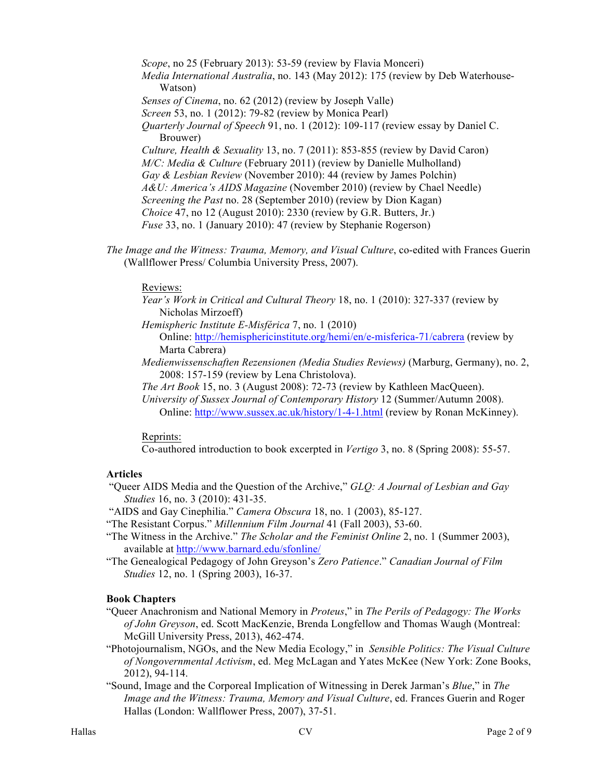*Scope*, no 25 (February 2013): 53-59 (review by Flavia Monceri)

*Media International Australia*, no. 143 (May 2012): 175 (review by Deb Waterhouse-Watson)

*Senses of Cinema*, no. 62 (2012) (review by Joseph Valle)

*Screen* 53, no. 1 (2012): 79-82 (review by Monica Pearl)

*Quarterly Journal of Speech* 91, no. 1 (2012): 109-117 (review essay by Daniel C. Brouwer)

*Culture, Health & Sexuality* 13, no. 7 (2011): 853-855 (review by David Caron) *M/C: Media & Culture* (February 2011) (review by Danielle Mulholland) *Gay & Lesbian Review* (November 2010): 44 (review by James Polchin) *A&U: America's AIDS Magazine* (November 2010) (review by Chael Needle) *Screening the Past* no. 28 (September 2010) (review by Dion Kagan) *Choice* 47, no 12 (August 2010): 2330 (review by G.R. Butters, Jr.) *Fuse* 33, no. 1 (January 2010): 47 (review by Stephanie Rogerson)

*The Image and the Witness: Trauma, Memory, and Visual Culture*, co-edited with Frances Guerin (Wallflower Press/ Columbia University Press, 2007).

## Reviews:

- *Year's Work in Critical and Cultural Theory* 18, no. 1 (2010): 327-337 (review by Nicholas Mirzoeff)
- *Hemispheric Institute E-Misférica* 7, no. 1 (2010)

Online: http://hemisphericinstitute.org/hemi/en/e-misferica-71/cabrera (review by Marta Cabrera)

- *Medienwissenschaften Rezensionen (Media Studies Reviews)* (Marburg, Germany), no. 2, 2008: 157-159 (review by Lena Christolova).
- *The Art Book* 15, no. 3 (August 2008): 72-73 (review by Kathleen MacQueen).
- *University of Sussex Journal of Contemporary History* 12 (Summer/Autumn 2008). Online: http://www.sussex.ac.uk/history/1-4-1.html (review by Ronan McKinney).

# Reprints:

Co-authored introduction to book excerpted in *Vertigo* 3, no. 8 (Spring 2008): 55-57.

# **Articles**

"Queer AIDS Media and the Question of the Archive," *GLQ: A Journal of Lesbian and Gay Studies* 16, no. 3 (2010): 431-35.

"AIDS and Gay Cinephilia." *Camera Obscura* 18, no. 1 (2003), 85-127.

"The Resistant Corpus." *Millennium Film Journal* 41 (Fall 2003), 53-60.

- "The Witness in the Archive." *The Scholar and the Feminist Online* 2, no. 1 (Summer 2003), available at http://www.barnard.edu/sfonline/
- "The Genealogical Pedagogy of John Greyson's *Zero Patience*." *Canadian Journal of Film Studies* 12, no. 1 (Spring 2003), 16-37.

# **Book Chapters**

- "Queer Anachronism and National Memory in *Proteus*," in *The Perils of Pedagogy: The Works of John Greyson*, ed. Scott MacKenzie, Brenda Longfellow and Thomas Waugh (Montreal: McGill University Press, 2013), 462-474.
- "Photojournalism, NGOs, and the New Media Ecology," in *Sensible Politics: The Visual Culture of Nongovernmental Activism*, ed. Meg McLagan and Yates McKee (New York: Zone Books, 2012), 94-114.
- "Sound, Image and the Corporeal Implication of Witnessing in Derek Jarman's *Blue*," in *The Image and the Witness: Trauma, Memory and Visual Culture*, ed. Frances Guerin and Roger Hallas (London: Wallflower Press, 2007), 37-51.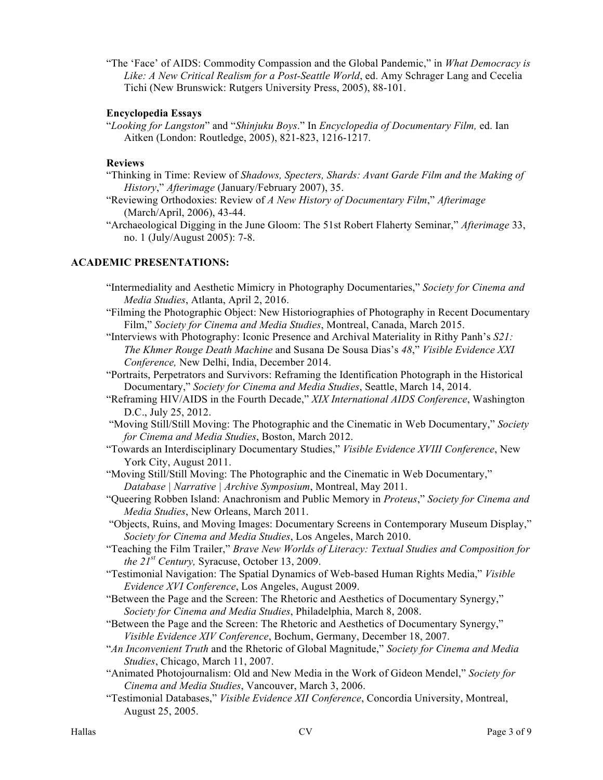"The 'Face' of AIDS: Commodity Compassion and the Global Pandemic," in *What Democracy is Like: A New Critical Realism for a Post-Seattle World*, ed. Amy Schrager Lang and Cecelia Tichi (New Brunswick: Rutgers University Press, 2005), 88-101.

## **Encyclopedia Essays**

"*Looking for Langston*" and "*Shinjuku Boys*." In *Encyclopedia of Documentary Film,* ed. Ian Aitken (London: Routledge, 2005), 821-823, 1216-1217.

#### **Reviews**

- "Thinking in Time: Review of *Shadows, Specters, Shards: Avant Garde Film and the Making of History*," *Afterimage* (January/February 2007), 35.
- "Reviewing Orthodoxies: Review of *A New History of Documentary Film*," *Afterimage* (March/April, 2006), 43-44.
- "Archaeological Digging in the June Gloom: The 51st Robert Flaherty Seminar," *Afterimage* 33, no. 1 (July/August 2005): 7-8.

#### **ACADEMIC PRESENTATIONS:**

- "Intermediality and Aesthetic Mimicry in Photography Documentaries," *Society for Cinema and Media Studies*, Atlanta, April 2, 2016.
- "Filming the Photographic Object: New Historiographies of Photography in Recent Documentary Film," *Society for Cinema and Media Studies*, Montreal, Canada, March 2015.
- "Interviews with Photography: Iconic Presence and Archival Materiality in Rithy Panh's *S21: The Khmer Rouge Death Machine* and Susana De Sousa Dias's *48*," *Visible Evidence XXI Conference,* New Delhi, India, December 2014.
- "Portraits, Perpetrators and Survivors: Reframing the Identification Photograph in the Historical Documentary," *Society for Cinema and Media Studies*, Seattle, March 14, 2014.
- "Reframing HIV/AIDS in the Fourth Decade," *XIX International AIDS Conference*, Washington D.C., July 25, 2012.
- "Moving Still/Still Moving: The Photographic and the Cinematic in Web Documentary," *Society for Cinema and Media Studies*, Boston, March 2012.
- "Towards an Interdisciplinary Documentary Studies," *Visible Evidence XVIII Conference*, New York City, August 2011.
- "Moving Still/Still Moving: The Photographic and the Cinematic in Web Documentary," *Database | Narrative | Archive Symposium*, Montreal, May 2011.
- "Queering Robben Island: Anachronism and Public Memory in *Proteus*," *Society for Cinema and Media Studies*, New Orleans, March 2011.
- "Objects, Ruins, and Moving Images: Documentary Screens in Contemporary Museum Display," *Society for Cinema and Media Studies*, Los Angeles, March 2010.
- "Teaching the Film Trailer," *Brave New Worlds of Literacy: Textual Studies and Composition for the 21st Century,* Syracuse, October 13, 2009.
- "Testimonial Navigation: The Spatial Dynamics of Web-based Human Rights Media," *Visible Evidence XVI Conference*, Los Angeles, August 2009.
- "Between the Page and the Screen: The Rhetoric and Aesthetics of Documentary Synergy," *Society for Cinema and Media Studies*, Philadelphia, March 8, 2008.
- "Between the Page and the Screen: The Rhetoric and Aesthetics of Documentary Synergy," *Visible Evidence XIV Conference*, Bochum, Germany, December 18, 2007.
- "*An Inconvenient Truth* and the Rhetoric of Global Magnitude," *Society for Cinema and Media Studies*, Chicago, March 11, 2007.
- "Animated Photojournalism: Old and New Media in the Work of Gideon Mendel," *Society for Cinema and Media Studies*, Vancouver, March 3, 2006.
- "Testimonial Databases," *Visible Evidence XII Conference*, Concordia University, Montreal, August 25, 2005.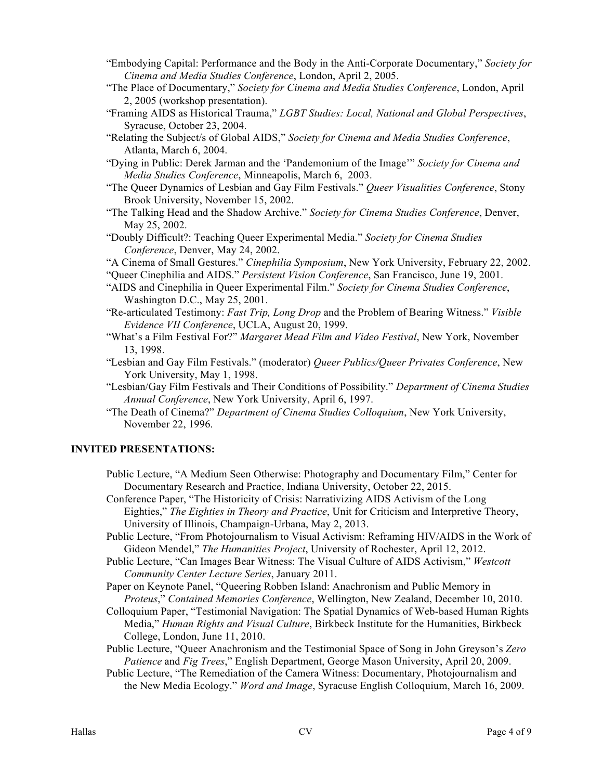- "Embodying Capital: Performance and the Body in the Anti-Corporate Documentary," *Society for Cinema and Media Studies Conference*, London, April 2, 2005.
- "The Place of Documentary," *Society for Cinema and Media Studies Conference*, London, April 2, 2005 (workshop presentation).
- "Framing AIDS as Historical Trauma," *LGBT Studies: Local, National and Global Perspectives*, Syracuse, October 23, 2004.
- "Relating the Subject/s of Global AIDS," *Society for Cinema and Media Studies Conference*, Atlanta, March 6, 2004.
- "Dying in Public: Derek Jarman and the 'Pandemonium of the Image'" *Society for Cinema and Media Studies Conference*, Minneapolis, March 6, 2003.
- "The Queer Dynamics of Lesbian and Gay Film Festivals." *Queer Visualities Conference*, Stony Brook University, November 15, 2002.
- "The Talking Head and the Shadow Archive." *Society for Cinema Studies Conference*, Denver, May 25, 2002.
- "Doubly Difficult?: Teaching Queer Experimental Media." *Society for Cinema Studies Conference*, Denver, May 24, 2002.
- "A Cinema of Small Gestures." *Cinephilia Symposium*, New York University, February 22, 2002.
- "Queer Cinephilia and AIDS." *Persistent Vision Conference*, San Francisco, June 19, 2001.
- "AIDS and Cinephilia in Queer Experimental Film." *Society for Cinema Studies Conference*, Washington D.C., May 25, 2001.
- "Re-articulated Testimony: *Fast Trip, Long Drop* and the Problem of Bearing Witness." *Visible Evidence VII Conference*, UCLA, August 20, 1999.
- "What's a Film Festival For?" *Margaret Mead Film and Video Festival*, New York, November 13, 1998.
- "Lesbian and Gay Film Festivals." (moderator) *Queer Publics/Queer Privates Conference*, New York University, May 1, 1998.
- "Lesbian/Gay Film Festivals and Their Conditions of Possibility." *Department of Cinema Studies Annual Conference*, New York University, April 6, 1997.
- "The Death of Cinema?" *Department of Cinema Studies Colloquium*, New York University, November 22, 1996.

## **INVITED PRESENTATIONS:**

- Public Lecture, "A Medium Seen Otherwise: Photography and Documentary Film," Center for Documentary Research and Practice, Indiana University, October 22, 2015.
- Conference Paper, "The Historicity of Crisis: Narrativizing AIDS Activism of the Long Eighties," *The Eighties in Theory and Practice*, Unit for Criticism and Interpretive Theory, University of Illinois, Champaign-Urbana, May 2, 2013.
- Public Lecture, "From Photojournalism to Visual Activism: Reframing HIV/AIDS in the Work of Gideon Mendel," *The Humanities Project*, University of Rochester, April 12, 2012.
- Public Lecture, "Can Images Bear Witness: The Visual Culture of AIDS Activism," *Westcott Community Center Lecture Series*, January 2011.
- Paper on Keynote Panel, "Queering Robben Island: Anachronism and Public Memory in *Proteus*," *Contained Memories Conference*, Wellington, New Zealand, December 10, 2010.
- Colloquium Paper, "Testimonial Navigation: The Spatial Dynamics of Web-based Human Rights Media," *Human Rights and Visual Culture*, Birkbeck Institute for the Humanities, Birkbeck College, London, June 11, 2010.
- Public Lecture, "Queer Anachronism and the Testimonial Space of Song in John Greyson's *Zero Patience* and *Fig Trees*," English Department, George Mason University, April 20, 2009.
- Public Lecture, "The Remediation of the Camera Witness: Documentary, Photojournalism and the New Media Ecology." *Word and Image*, Syracuse English Colloquium, March 16, 2009.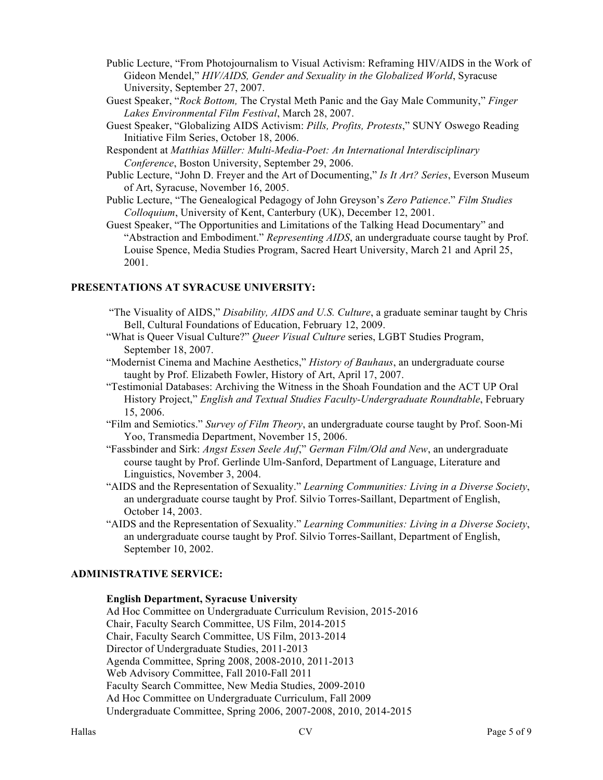- Public Lecture, "From Photojournalism to Visual Activism: Reframing HIV/AIDS in the Work of Gideon Mendel," *HIV/AIDS, Gender and Sexuality in the Globalized World*, Syracuse University, September 27, 2007.
- Guest Speaker, "*Rock Bottom,* The Crystal Meth Panic and the Gay Male Community," *Finger Lakes Environmental Film Festival*, March 28, 2007.
- Guest Speaker, "Globalizing AIDS Activism: *Pills, Profits, Protests*," SUNY Oswego Reading Initiative Film Series, October 18, 2006.
- Respondent at *Matthias Müller: Multi-Media-Poet: An International Interdisciplinary Conference*, Boston University, September 29, 2006.
- Public Lecture, "John D. Freyer and the Art of Documenting," *Is It Art? Series*, Everson Museum of Art, Syracuse, November 16, 2005.
- Public Lecture, "The Genealogical Pedagogy of John Greyson's *Zero Patience*." *Film Studies Colloquium*, University of Kent, Canterbury (UK), December 12, 2001.

Guest Speaker, "The Opportunities and Limitations of the Talking Head Documentary" and "Abstraction and Embodiment." *Representing AIDS*, an undergraduate course taught by Prof. Louise Spence, Media Studies Program, Sacred Heart University, March 21 and April 25, 2001.

## **PRESENTATIONS AT SYRACUSE UNIVERSITY:**

- "The Visuality of AIDS," *Disability, AIDS and U.S. Culture*, a graduate seminar taught by Chris Bell, Cultural Foundations of Education, February 12, 2009.
- "What is Queer Visual Culture?" *Queer Visual Culture* series, LGBT Studies Program, September 18, 2007.
- "Modernist Cinema and Machine Aesthetics," *History of Bauhaus*, an undergraduate course taught by Prof. Elizabeth Fowler, History of Art, April 17, 2007.
- "Testimonial Databases: Archiving the Witness in the Shoah Foundation and the ACT UP Oral History Project," *English and Textual Studies Faculty-Undergraduate Roundtable*, February 15, 2006.
- "Film and Semiotics." *Survey of Film Theory*, an undergraduate course taught by Prof. Soon-Mi Yoo, Transmedia Department, November 15, 2006.
- "Fassbinder and Sirk: *Angst Essen Seele Auf*," *German Film/Old and New*, an undergraduate course taught by Prof. Gerlinde Ulm-Sanford, Department of Language, Literature and Linguistics, November 3, 2004.
- "AIDS and the Representation of Sexuality." *Learning Communities: Living in a Diverse Society*, an undergraduate course taught by Prof. Silvio Torres-Saillant, Department of English, October 14, 2003.
- "AIDS and the Representation of Sexuality." *Learning Communities: Living in a Diverse Society*, an undergraduate course taught by Prof. Silvio Torres-Saillant, Department of English, September 10, 2002.

## **ADMINISTRATIVE SERVICE:**

#### **English Department, Syracuse University**

Ad Hoc Committee on Undergraduate Curriculum Revision, 2015-2016 Chair, Faculty Search Committee, US Film, 2014-2015 Chair, Faculty Search Committee, US Film, 2013-2014 Director of Undergraduate Studies, 2011-2013 Agenda Committee, Spring 2008, 2008-2010, 2011-2013 Web Advisory Committee, Fall 2010-Fall 2011 Faculty Search Committee, New Media Studies, 2009-2010 Ad Hoc Committee on Undergraduate Curriculum, Fall 2009 Undergraduate Committee, Spring 2006, 2007-2008, 2010, 2014-2015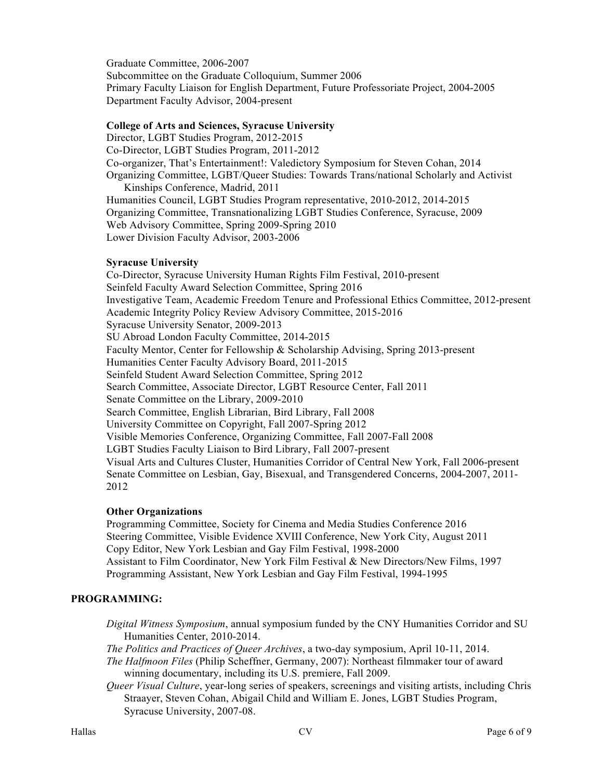Graduate Committee, 2006-2007 Subcommittee on the Graduate Colloquium, Summer 2006 Primary Faculty Liaison for English Department, Future Professoriate Project, 2004-2005 Department Faculty Advisor, 2004-present

#### **College of Arts and Sciences, Syracuse University**

Director, LGBT Studies Program, 2012-2015

Co-Director, LGBT Studies Program, 2011-2012 Co-organizer, That's Entertainment!: Valedictory Symposium for Steven Cohan, 2014 Organizing Committee, LGBT/Queer Studies: Towards Trans/national Scholarly and Activist Kinships Conference, Madrid, 2011 Humanities Council, LGBT Studies Program representative, 2010-2012, 2014-2015 Organizing Committee, Transnationalizing LGBT Studies Conference, Syracuse, 2009 Web Advisory Committee, Spring 2009-Spring 2010 Lower Division Faculty Advisor, 2003-2006

#### **Syracuse University**

Co-Director, Syracuse University Human Rights Film Festival, 2010-present Seinfeld Faculty Award Selection Committee, Spring 2016 Investigative Team, Academic Freedom Tenure and Professional Ethics Committee, 2012-present Academic Integrity Policy Review Advisory Committee, 2015-2016 Syracuse University Senator, 2009-2013 SU Abroad London Faculty Committee, 2014-2015 Faculty Mentor, Center for Fellowship & Scholarship Advising, Spring 2013-present Humanities Center Faculty Advisory Board, 2011-2015 Seinfeld Student Award Selection Committee, Spring 2012 Search Committee, Associate Director, LGBT Resource Center, Fall 2011 Senate Committee on the Library, 2009-2010 Search Committee, English Librarian, Bird Library, Fall 2008 University Committee on Copyright, Fall 2007-Spring 2012 Visible Memories Conference, Organizing Committee, Fall 2007-Fall 2008 LGBT Studies Faculty Liaison to Bird Library, Fall 2007-present Visual Arts and Cultures Cluster, Humanities Corridor of Central New York, Fall 2006-present Senate Committee on Lesbian, Gay, Bisexual, and Transgendered Concerns, 2004-2007, 2011- 2012

#### **Other Organizations**

Programming Committee, Society for Cinema and Media Studies Conference 2016 Steering Committee, Visible Evidence XVIII Conference, New York City, August 2011 Copy Editor, New York Lesbian and Gay Film Festival, 1998-2000 Assistant to Film Coordinator, New York Film Festival & New Directors/New Films, 1997 Programming Assistant, New York Lesbian and Gay Film Festival, 1994-1995

# **PROGRAMMING:**

*Digital Witness Symposium*, annual symposium funded by the CNY Humanities Corridor and SU Humanities Center, 2010-2014.

*The Politics and Practices of Queer Archives*, a two-day symposium, April 10-11, 2014. *The Halfmoon Files* (Philip Scheffner, Germany, 2007): Northeast filmmaker tour of award

winning documentary, including its U.S. premiere, Fall 2009.

*Queer Visual Culture*, year-long series of speakers, screenings and visiting artists, including Chris Straayer, Steven Cohan, Abigail Child and William E. Jones, LGBT Studies Program, Syracuse University, 2007-08.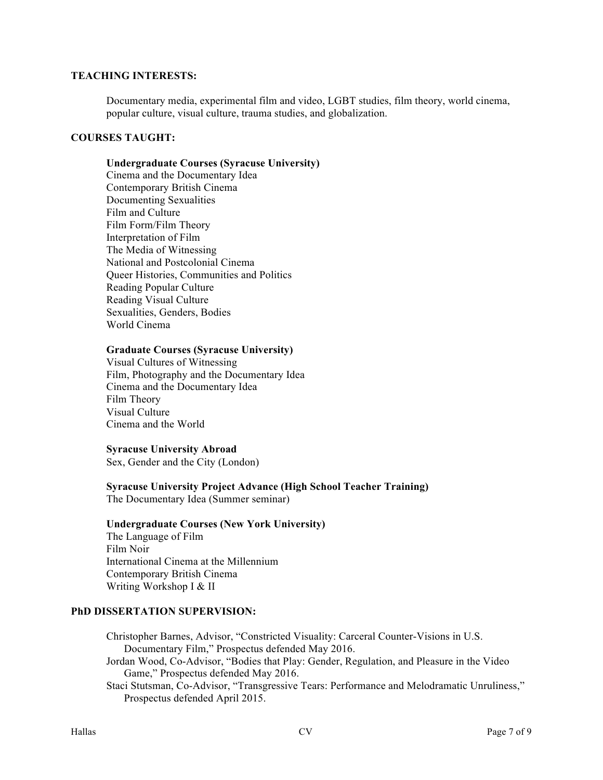## **TEACHING INTERESTS:**

Documentary media, experimental film and video, LGBT studies, film theory, world cinema, popular culture, visual culture, trauma studies, and globalization.

#### **COURSES TAUGHT:**

#### **Undergraduate Courses (Syracuse University)**

Cinema and the Documentary Idea Contemporary British Cinema Documenting Sexualities Film and Culture Film Form/Film Theory Interpretation of Film The Media of Witnessing National and Postcolonial Cinema Queer Histories, Communities and Politics Reading Popular Culture Reading Visual Culture Sexualities, Genders, Bodies World Cinema

#### **Graduate Courses (Syracuse University)**

Visual Cultures of Witnessing Film, Photography and the Documentary Idea Cinema and the Documentary Idea Film Theory Visual Culture Cinema and the World

#### **Syracuse University Abroad**

Sex, Gender and the City (London)

# **Syracuse University Project Advance (High School Teacher Training)**

The Documentary Idea (Summer seminar)

#### **Undergraduate Courses (New York University)**

The Language of Film Film Noir International Cinema at the Millennium Contemporary British Cinema Writing Workshop I & II

#### **PhD DISSERTATION SUPERVISION:**

Christopher Barnes, Advisor, "Constricted Visuality: Carceral Counter-Visions in U.S. Documentary Film," Prospectus defended May 2016.

Jordan Wood, Co-Advisor, "Bodies that Play: Gender, Regulation, and Pleasure in the Video Game," Prospectus defended May 2016.

Staci Stutsman, Co-Advisor, "Transgressive Tears: Performance and Melodramatic Unruliness," Prospectus defended April 2015.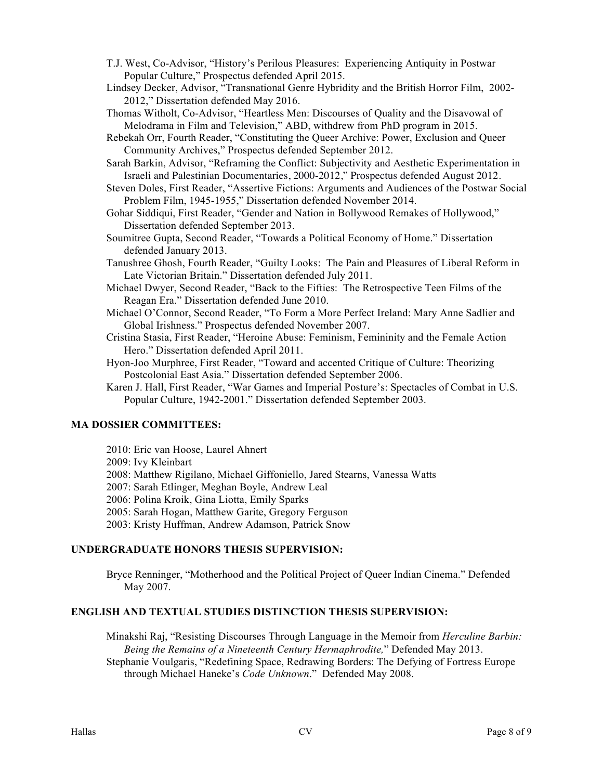- T.J. West, Co-Advisor, "History's Perilous Pleasures: Experiencing Antiquity in Postwar Popular Culture," Prospectus defended April 2015.
- Lindsey Decker, Advisor, "Transnational Genre Hybridity and the British Horror Film, 2002- 2012," Dissertation defended May 2016.
- Thomas Witholt, Co-Advisor, "Heartless Men: Discourses of Quality and the Disavowal of Melodrama in Film and Television," ABD, withdrew from PhD program in 2015.
- Rebekah Orr, Fourth Reader, "Constituting the Queer Archive: Power, Exclusion and Queer Community Archives," Prospectus defended September 2012.
- Sarah Barkin, Advisor, "Reframing the Conflict: Subjectivity and Aesthetic Experimentation in Israeli and Palestinian Documentaries, 2000-2012," Prospectus defended August 2012.
- Steven Doles, First Reader, "Assertive Fictions: Arguments and Audiences of the Postwar Social Problem Film, 1945-1955," Dissertation defended November 2014.
- Gohar Siddiqui, First Reader, "Gender and Nation in Bollywood Remakes of Hollywood," Dissertation defended September 2013.
- Soumitree Gupta, Second Reader, "Towards a Political Economy of Home." Dissertation defended January 2013.
- Tanushree Ghosh, Fourth Reader, "Guilty Looks: The Pain and Pleasures of Liberal Reform in Late Victorian Britain." Dissertation defended July 2011.
- Michael Dwyer, Second Reader, "Back to the Fifties: The Retrospective Teen Films of the Reagan Era." Dissertation defended June 2010.
- Michael O'Connor, Second Reader, "To Form a More Perfect Ireland: Mary Anne Sadlier and Global Irishness." Prospectus defended November 2007.
- Cristina Stasia, First Reader, "Heroine Abuse: Feminism, Femininity and the Female Action Hero." Dissertation defended April 2011.
- Hyon-Joo Murphree, First Reader, "Toward and accented Critique of Culture: Theorizing Postcolonial East Asia." Dissertation defended September 2006.
- Karen J. Hall, First Reader, "War Games and Imperial Posture's: Spectacles of Combat in U.S. Popular Culture, 1942-2001." Dissertation defended September 2003.

## **MA DOSSIER COMMITTEES:**

- 2010: Eric van Hoose, Laurel Ahnert
- 2009: Ivy Kleinbart
- 2008: Matthew Rigilano, Michael Giffoniello, Jared Stearns, Vanessa Watts

2007: Sarah Etlinger, Meghan Boyle, Andrew Leal

- 2006: Polina Kroik, Gina Liotta, Emily Sparks
- 2005: Sarah Hogan, Matthew Garite, Gregory Ferguson
- 2003: Kristy Huffman, Andrew Adamson, Patrick Snow

#### **UNDERGRADUATE HONORS THESIS SUPERVISION:**

Bryce Renninger, "Motherhood and the Political Project of Queer Indian Cinema." Defended May 2007.

## **ENGLISH AND TEXTUAL STUDIES DISTINCTION THESIS SUPERVISION:**

Minakshi Raj, "Resisting Discourses Through Language in the Memoir from *Herculine Barbin: Being the Remains of a Nineteenth Century Hermaphrodite,*" Defended May 2013. Stephanie Voulgaris, "Redefining Space, Redrawing Borders: The Defying of Fortress Europe through Michael Haneke's *Code Unknown*." Defended May 2008.